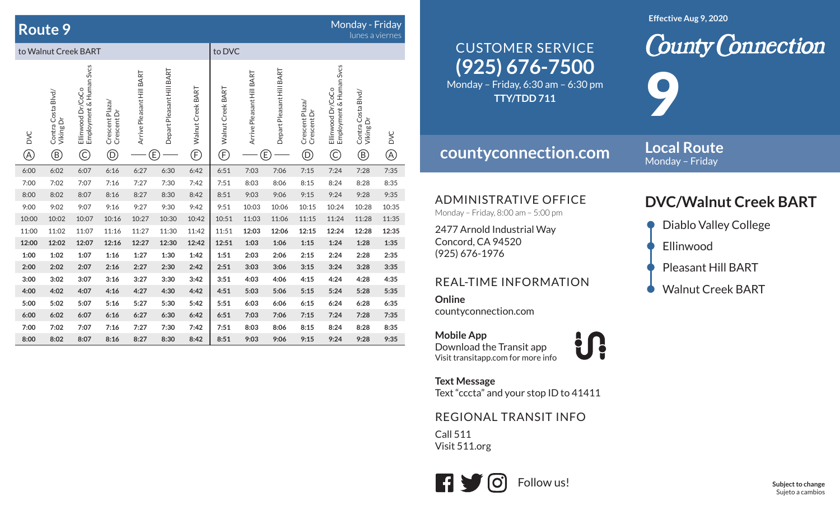## **Route 9**

## $\mathbf S$  . The contract of the contract of the contract of the contract of the contract of the contract of the contract of the contract of the contract of the contract of the contract of the contract of the contract of the

|                            |                                                 |                                                              |                                                 |                           |                                |                                             |                        |                                |                           |                                                                  |                                                                        | <b>TUTTO U VICITIO</b>                          |                           |  |
|----------------------------|-------------------------------------------------|--------------------------------------------------------------|-------------------------------------------------|---------------------------|--------------------------------|---------------------------------------------|------------------------|--------------------------------|---------------------------|------------------------------------------------------------------|------------------------------------------------------------------------|-------------------------------------------------|---------------------------|--|
| to Walnut Creek BART       |                                                 |                                                              |                                                 |                           |                                |                                             |                        | to DVC                         |                           |                                                                  |                                                                        |                                                 |                           |  |
| <b>DVC</b><br>$^\circledR$ | Contra Costa Blvd/<br>Viking Dr<br>$^\circledR$ | Employment & Human Svcs<br>Ellinwood Dr/CoCo<br>$\copyright$ | Crescent Plaza/<br>Crescent Dr<br>$^\copyright$ | Arrive Pleasant Hill BART | Depart Pleasant Hill BART<br>Έ | Walnut Creek BART<br>$\widehat{\mathbb{E}}$ | Walnut Creek BART<br>Ē | Arrive Pleasant Hill BART<br>Έ | Depart Pleasant Hill BART | Crescent Plaza/<br>Crescent Dr<br>$\textcircled{\scriptsize{D}}$ | Employment & Human Svcs<br>Ellinwood Dr/CoCo<br>$\widehat{\mathbb{C}}$ | Contra Costa Blvd/<br>Viking Dr<br>$^\circledR$ | <b>DVC</b><br>$\circledA$ |  |
| 6:00                       | 6:02                                            | 6:07                                                         | 6:16                                            | 6:27                      | 6:30                           | 6:42                                        | 6:51                   | 7:03                           | 7:06                      | 7:15                                                             | 7:24                                                                   | 7:28                                            | 7:35                      |  |
| 7:00                       | 7:02                                            | 7:07                                                         | 7:16                                            | 7:27                      | 7:30                           | 7:42                                        | 7:51                   | 8:03                           | 8:06                      | 8:15                                                             | 8:24                                                                   | 8:28                                            | 8:35                      |  |
| 8:00                       | 8:02                                            | 8:07                                                         | 8:16                                            | 8:27                      | 8:30                           | 8:42                                        | 8:51                   | 9:03                           | 9:06                      | 9:15                                                             | 9:24                                                                   | 9:28                                            | 9:35                      |  |
| 9:00                       | 9:02                                            | 9:07                                                         | 9:16                                            | 9:27                      | 9:30                           | 9:42                                        | 9:51                   | 10:03                          | 10:06                     | 10:15                                                            | 10:24                                                                  | 10:28                                           | 10:35                     |  |
| 10:00                      | 10:02                                           | 10:07                                                        | 10:16                                           | 10:27                     | 10:30                          | 10:42                                       | 10:51                  | 11:03                          | 11:06                     | 11:15                                                            | 11:24                                                                  | 11:28                                           | 11:35                     |  |
| 11:00                      | 11:02                                           | 11:07                                                        | 11:16                                           | 11:27                     | 11:30                          | 11:42                                       | 11:51                  | 12:03                          | 12:06                     | 12:15                                                            | 12:24                                                                  | 12:28                                           | 12:35                     |  |
| 12:00                      | 12:02                                           | 12:07                                                        | 12:16                                           | 12:27                     | 12:30                          | 12:42                                       | 12:51                  | 1:03                           | 1:06                      | 1:15                                                             | 1:24                                                                   | 1:28                                            | 1:35                      |  |
| 1:00                       | 1:02                                            | 1:07                                                         | 1:16                                            | 1:27                      | 1:30                           | 1:42                                        | 1:51                   | 2:03                           | 2:06                      | 2:15                                                             | 2:24                                                                   | 2:28                                            | 2:35                      |  |
| 2:00                       | 2:02                                            | 2:07                                                         | 2:16                                            | 2:27                      | 2:30                           | 2:42                                        | 2:51                   | 3:03                           | 3:06                      | 3:15                                                             | 3:24                                                                   | 3:28                                            | 3:35                      |  |
| 3:00                       | 3:02                                            | 3:07                                                         | 3:16                                            | 3:27                      | 3:30                           | 3:42                                        | 3:51                   | 4:03                           | 4:06                      | 4:15                                                             | 4:24                                                                   | 4:28                                            | 4:35                      |  |
| 4:00                       | 4:02                                            | 4:07                                                         | 4:16                                            | 4:27                      | 4:30                           | 4:42                                        | 4:51                   | 5:03                           | 5:06                      | 5:15                                                             | 5:24                                                                   | 5:28                                            | 5:35                      |  |
| 5:00                       | 5:02                                            | 5:07                                                         | 5:16                                            | 5:27                      | 5:30                           | 5:42                                        | 5:51                   | 6:03                           | 6:06                      | 6:15                                                             | 6:24                                                                   | 6:28                                            | 6:35                      |  |
| 6:00                       | 6:02                                            | 6:07                                                         | 6:16                                            | 6:27                      | 6:30                           | 6:42                                        | 6:51                   | 7:03                           | 7:06                      | 7:15                                                             | 7:24                                                                   | 7:28                                            | 7:35                      |  |
| 7:00                       | 7:02                                            | 7:07                                                         | 7:16                                            | 7:27                      | 7:30                           | 7:42                                        | 7:51                   | 8:03                           | 8:06                      | 8:15                                                             | 8:24                                                                   | 8:28                                            | 8:35                      |  |
| 8:00                       | 8:02                                            | 8:07                                                         | 8:16                                            | 8:27                      | 8:30                           | 8:42                                        | 8:51                   | 9:03                           | 9:06                      | 9:15                                                             | 9:24                                                                   | 9:28                                            | 9:35                      |  |

#### **Effective Aug 9, 2020**

# **(925) 676-7500** CUSTOMER SERVICE

Monday – Friday, 6:30 am – 6:30 pm **TTY/TDD 711**

## **countyconnection.com**

**Local Route** Monday – Friday

9

ADMINISTRATIVE OFFICE

Monday – Friday, 8:00 am – 5:00 pm

2477 Arnold Industrial Way Concord, CA 94520 (925) 676-1976

### REAL-TIME INFORMATION

**Online**countyconnection.com

**Mobile App** Download the Transit app Visit transitapp.com for more info

**Text Message** Text "cccta" and your stop ID to 41411

**in** 

REGIONAL TRANSIT INFO

Call 511 Visit 511.org



## **DVC/Walnut Creek BART**

**County Connection** 

- Diablo Valley College
- **Ellinwood**
- Pleasant Hill BART
- Walnut Creek BART